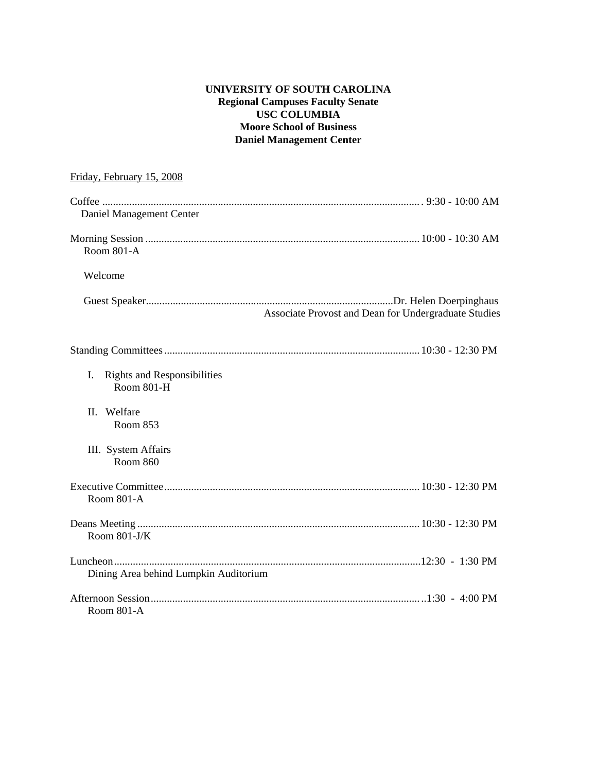# **UNIVERSITY OF SOUTH CAROLINA Regional Campuses Faculty Senate USC COLUMBIA Moore School of Business Daniel Management Center**

| Friday, February 15, 2008                                     |
|---------------------------------------------------------------|
| Daniel Management Center                                      |
| <b>Room 801-A</b>                                             |
| Welcome                                                       |
| Associate Provost and Dean for Undergraduate Studies          |
|                                                               |
| I.<br><b>Rights and Responsibilities</b><br><b>Room 801-H</b> |
| II. Welfare<br>Room 853                                       |
| III. System Affairs<br><b>Room 860</b>                        |
| Room 801-A                                                    |
| Room $801-J/K$                                                |
|                                                               |
| Dining Area behind Lumpkin Auditorium                         |
| Room 801-A                                                    |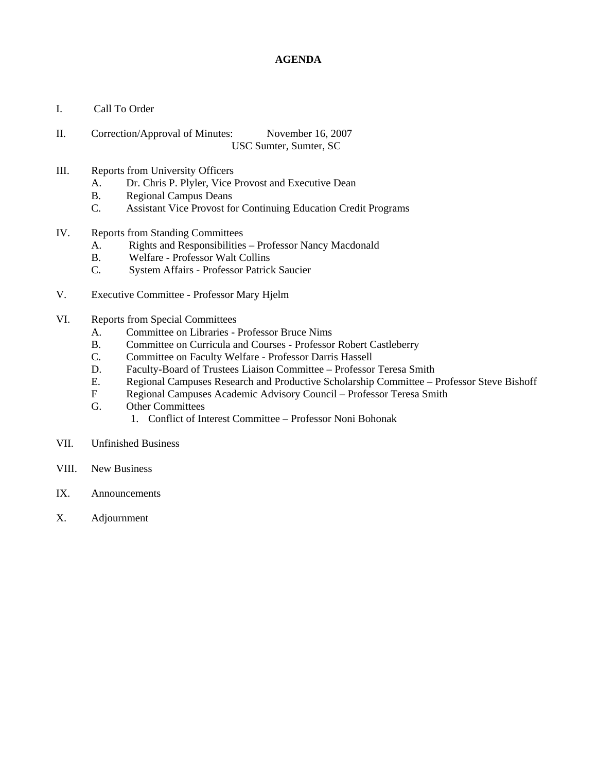## **AGENDA**

- I. Call To Order
- II. Correction/Approval of Minutes: November 16, 2007 USC Sumter, Sumter, SC
- III. Reports from University Officers
	- A. Dr. Chris P. Plyler, Vice Provost and Executive Dean
	- B. Regional Campus Deans
	- C. Assistant Vice Provost for Continuing Education Credit Programs
- IV. Reports from Standing Committees
	- A. Rights and Responsibilities Professor Nancy Macdonald
	- B. Welfare Professor Walt Collins
	- C. System Affairs Professor Patrick Saucier
- V. Executive Committee Professor Mary Hjelm
- VI. Reports from Special Committees
	- A. Committee on Libraries Professor Bruce Nims
	- B. Committee on Curricula and Courses Professor Robert Castleberry
	- C. Committee on Faculty Welfare Professor Darris Hassell
	- D. Faculty-Board of Trustees Liaison Committee Professor Teresa Smith
	- E. Regional Campuses Research and Productive Scholarship Committee Professor Steve Bishoff
	- F Regional Campuses Academic Advisory Council Professor Teresa Smith
	- G. Other Committees
		- 1. Conflict of Interest Committee Professor Noni Bohonak
- VII. Unfinished Business
- VIII. New Business
- IX. Announcements
- X. Adjournment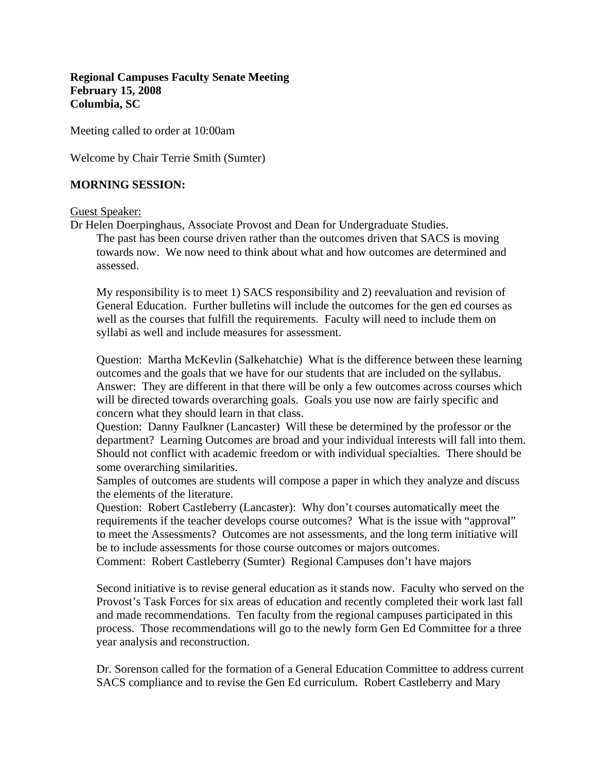**Regional Campuses Faculty Senate Meeting February 15, 2008 Columbia, SC** 

Meeting called to order at 10:00am

Welcome by Chair Terrie Smith (Sumter)

## **MORNING SESSION:**

Guest Speaker:

assessed.

Dr Helen Doerpinghaus, Associate Provost and Dean for Undergraduate Studies. The past has been course driven rather than the outcomes driven that SACS is moving towards now. We now need to think about what and how outcomes are determined and

My responsibility is to meet 1) SACS responsibility and 2) reevaluation and revision of General Education. Further bulletins will include the outcomes for the gen ed courses as well as the courses that fulfill the requirements. Faculty will need to include them on syllabi as well and include measures for assessment.

Question: Martha McKevlin (Salkehatchie) What is the difference between these learning outcomes and the goals that we have for our students that are included on the syllabus. Answer: They are different in that there will be only a few outcomes across courses which will be directed towards overarching goals. Goals you use now are fairly specific and concern what they should learn in that class.

Question: Danny Faulkner (Lancaster) Will these be determined by the professor or the department? Learning Outcomes are broad and your individual interests will fall into them. Should not conflict with academic freedom or with individual specialties. There should be some overarching similarities.

Samples of outcomes are students will compose a paper in which they analyze and discuss the elements of the literature.

Question: Robert Castleberry (Lancaster): Why don't courses automatically meet the requirements if the teacher develops course outcomes? What is the issue with "approval" to meet the Assessments? Outcomes are not assessments, and the long term initiative will be to include assessments for those course outcomes or majors outcomes.

Comment: Robert Castleberry (Sumter) Regional Campuses don't have majors

Second initiative is to revise general education as it stands now. Faculty who served on the Provost's Task Forces for six areas of education and recently completed their work last fall and made recommendations. Ten faculty from the regional campuses participated in this process. Those recommendations will go to the newly form Gen Ed Committee for a three year analysis and reconstruction.

Dr. Sorenson called for the formation of a General Education Committee to address current SACS compliance and to revise the Gen Ed curriculum. Robert Castleberry and Mary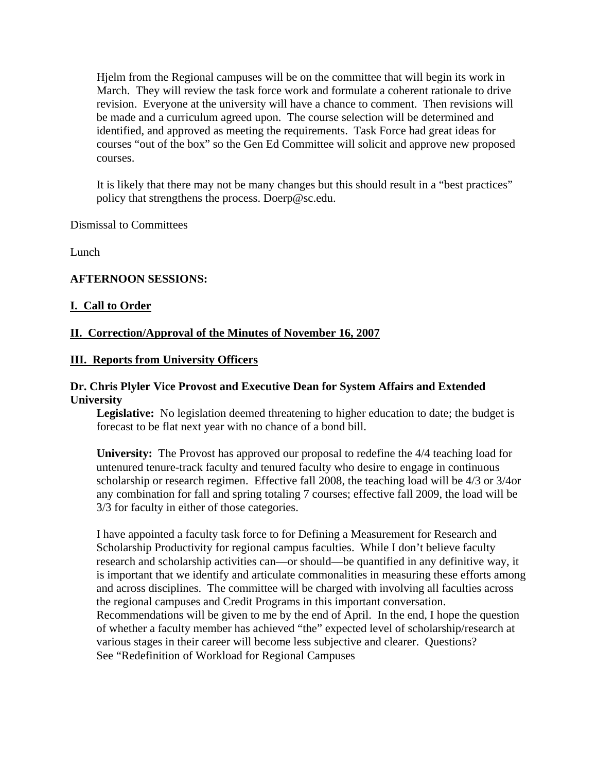Hjelm from the Regional campuses will be on the committee that will begin its work in March. They will review the task force work and formulate a coherent rationale to drive revision. Everyone at the university will have a chance to comment. Then revisions will be made and a curriculum agreed upon. The course selection will be determined and identified, and approved as meeting the requirements. Task Force had great ideas for courses "out of the box" so the Gen Ed Committee will solicit and approve new proposed courses.

It is likely that there may not be many changes but this should result in a "best practices" policy that strengthens the process. Doerp@sc.edu.

Dismissal to Committees

Lunch

# **AFTERNOON SESSIONS:**

### **I. Call to Order**

# **II. Correction/Approval of the Minutes of November 16, 2007**

### **III. Reports from University Officers**

## **Dr. Chris Plyler Vice Provost and Executive Dean for System Affairs and Extended University**

**Legislative:** No legislation deemed threatening to higher education to date; the budget is forecast to be flat next year with no chance of a bond bill.

**University:** The Provost has approved our proposal to redefine the 4/4 teaching load for untenured tenure-track faculty and tenured faculty who desire to engage in continuous scholarship or research regimen. Effective fall 2008, the teaching load will be 4/3 or 3/4or any combination for fall and spring totaling 7 courses; effective fall 2009, the load will be 3/3 for faculty in either of those categories.

I have appointed a faculty task force to for Defining a Measurement for Research and Scholarship Productivity for regional campus faculties. While I don't believe faculty research and scholarship activities can—or should—be quantified in any definitive way, it is important that we identify and articulate commonalities in measuring these efforts among and across disciplines. The committee will be charged with involving all faculties across the regional campuses and Credit Programs in this important conversation. Recommendations will be given to me by the end of April. In the end, I hope the question of whether a faculty member has achieved "the" expected level of scholarship/research at various stages in their career will become less subjective and clearer. Questions? See "Redefinition of Workload for Regional Campuses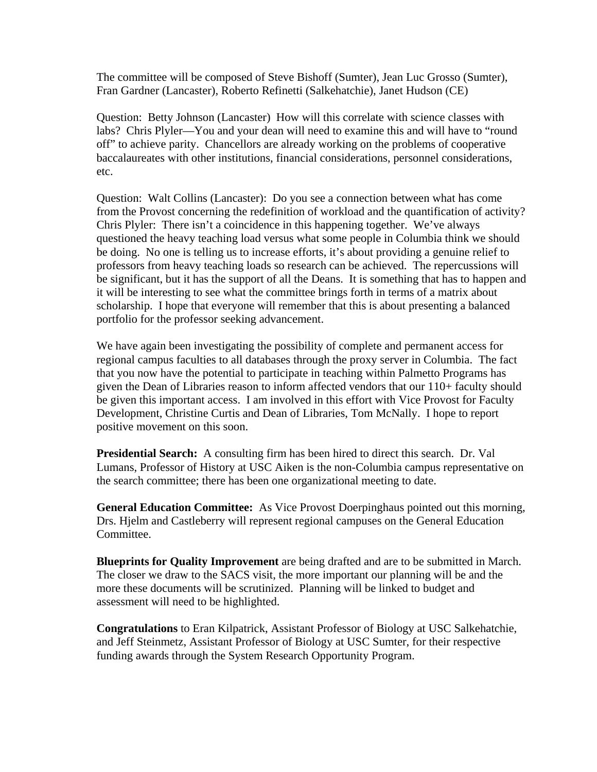The committee will be composed of Steve Bishoff (Sumter), Jean Luc Grosso (Sumter), Fran Gardner (Lancaster), Roberto Refinetti (Salkehatchie), Janet Hudson (CE)

Question: Betty Johnson (Lancaster) How will this correlate with science classes with labs? Chris Plyler—You and your dean will need to examine this and will have to "round off" to achieve parity. Chancellors are already working on the problems of cooperative baccalaureates with other institutions, financial considerations, personnel considerations, etc.

Question: Walt Collins (Lancaster): Do you see a connection between what has come from the Provost concerning the redefinition of workload and the quantification of activity? Chris Plyler: There isn't a coincidence in this happening together. We've always questioned the heavy teaching load versus what some people in Columbia think we should be doing. No one is telling us to increase efforts, it's about providing a genuine relief to professors from heavy teaching loads so research can be achieved. The repercussions will be significant, but it has the support of all the Deans. It is something that has to happen and it will be interesting to see what the committee brings forth in terms of a matrix about scholarship. I hope that everyone will remember that this is about presenting a balanced portfolio for the professor seeking advancement.

We have again been investigating the possibility of complete and permanent access for regional campus faculties to all databases through the proxy server in Columbia. The fact that you now have the potential to participate in teaching within Palmetto Programs has given the Dean of Libraries reason to inform affected vendors that our 110+ faculty should be given this important access. I am involved in this effort with Vice Provost for Faculty Development, Christine Curtis and Dean of Libraries, Tom McNally. I hope to report positive movement on this soon.

**Presidential Search:** A consulting firm has been hired to direct this search. Dr. Val Lumans, Professor of History at USC Aiken is the non-Columbia campus representative on the search committee; there has been one organizational meeting to date.

**General Education Committee:** As Vice Provost Doerpinghaus pointed out this morning, Drs. Hjelm and Castleberry will represent regional campuses on the General Education Committee.

**Blueprints for Quality Improvement** are being drafted and are to be submitted in March. The closer we draw to the SACS visit, the more important our planning will be and the more these documents will be scrutinized. Planning will be linked to budget and assessment will need to be highlighted.

**Congratulations** to Eran Kilpatrick, Assistant Professor of Biology at USC Salkehatchie, and Jeff Steinmetz, Assistant Professor of Biology at USC Sumter, for their respective funding awards through the System Research Opportunity Program.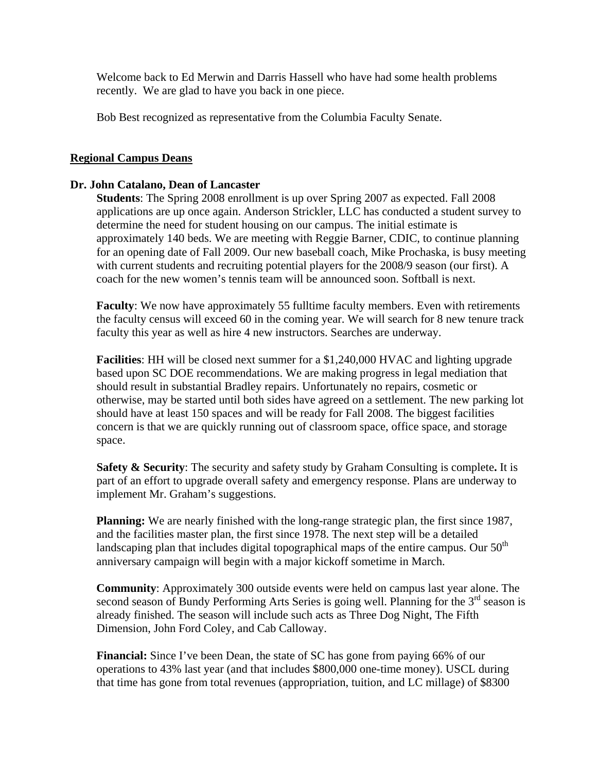Welcome back to Ed Merwin and Darris Hassell who have had some health problems recently. We are glad to have you back in one piece.

Bob Best recognized as representative from the Columbia Faculty Senate.

## **Regional Campus Deans**

#### **Dr. John Catalano, Dean of Lancaster**

**Students**: The Spring 2008 enrollment is up over Spring 2007 as expected. Fall 2008 applications are up once again. Anderson Strickler, LLC has conducted a student survey to determine the need for student housing on our campus. The initial estimate is approximately 140 beds. We are meeting with Reggie Barner, CDIC, to continue planning for an opening date of Fall 2009. Our new baseball coach, Mike Prochaska, is busy meeting with current students and recruiting potential players for the 2008/9 season (our first). A coach for the new women's tennis team will be announced soon. Softball is next.

**Faculty**: We now have approximately 55 fulltime faculty members. Even with retirements the faculty census will exceed 60 in the coming year. We will search for 8 new tenure track faculty this year as well as hire 4 new instructors. Searches are underway.

**Facilities**: HH will be closed next summer for a \$1,240,000 HVAC and lighting upgrade based upon SC DOE recommendations. We are making progress in legal mediation that should result in substantial Bradley repairs. Unfortunately no repairs, cosmetic or otherwise, may be started until both sides have agreed on a settlement. The new parking lot should have at least 150 spaces and will be ready for Fall 2008. The biggest facilities concern is that we are quickly running out of classroom space, office space, and storage space.

**Safety & Security**: The security and safety study by Graham Consulting is complete**.** It is part of an effort to upgrade overall safety and emergency response. Plans are underway to implement Mr. Graham's suggestions.

**Planning:** We are nearly finished with the long-range strategic plan, the first since 1987, and the facilities master plan, the first since 1978. The next step will be a detailed landscaping plan that includes digital topographical maps of the entire campus. Our  $50<sup>th</sup>$ anniversary campaign will begin with a major kickoff sometime in March.

**Community**: Approximately 300 outside events were held on campus last year alone. The second season of Bundy Performing Arts Series is going well. Planning for the  $3<sup>rd</sup>$  season is already finished. The season will include such acts as Three Dog Night, The Fifth Dimension, John Ford Coley, and Cab Calloway.

**Financial:** Since I've been Dean, the state of SC has gone from paying 66% of our operations to 43% last year (and that includes \$800,000 one-time money). USCL during that time has gone from total revenues (appropriation, tuition, and LC millage) of \$8300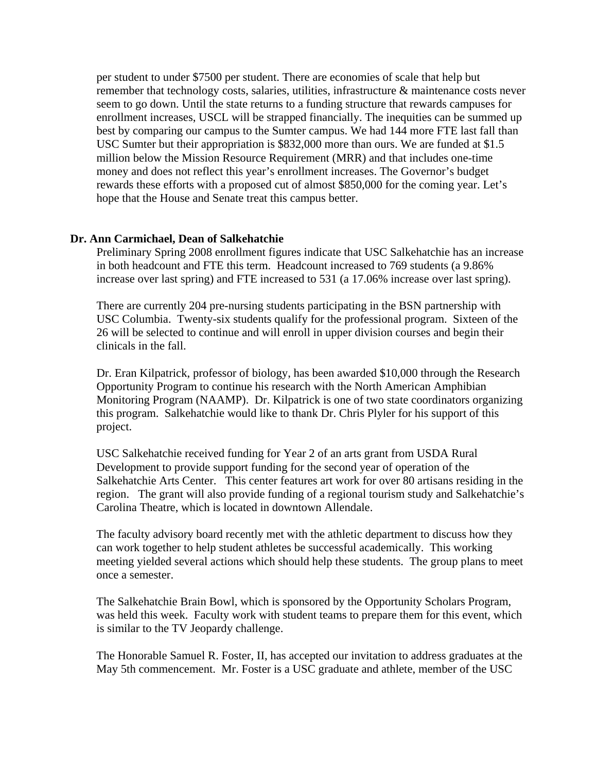per student to under \$7500 per student. There are economies of scale that help but remember that technology costs, salaries, utilities, infrastructure & maintenance costs never seem to go down. Until the state returns to a funding structure that rewards campuses for enrollment increases, USCL will be strapped financially. The inequities can be summed up best by comparing our campus to the Sumter campus. We had 144 more FTE last fall than USC Sumter but their appropriation is \$832,000 more than ours. We are funded at \$1.5 million below the Mission Resource Requirement (MRR) and that includes one-time money and does not reflect this year's enrollment increases. The Governor's budget rewards these efforts with a proposed cut of almost \$850,000 for the coming year. Let's hope that the House and Senate treat this campus better.

#### **Dr. Ann Carmichael, Dean of Salkehatchie**

Preliminary Spring 2008 enrollment figures indicate that USC Salkehatchie has an increase in both headcount and FTE this term. Headcount increased to 769 students (a 9.86% increase over last spring) and FTE increased to 531 (a 17.06% increase over last spring).

There are currently 204 pre-nursing students participating in the BSN partnership with USC Columbia. Twenty-six students qualify for the professional program. Sixteen of the 26 will be selected to continue and will enroll in upper division courses and begin their clinicals in the fall.

Dr. Eran Kilpatrick, professor of biology, has been awarded \$10,000 through the Research Opportunity Program to continue his research with the North American Amphibian Monitoring Program (NAAMP). Dr. Kilpatrick is one of two state coordinators organizing this program. Salkehatchie would like to thank Dr. Chris Plyler for his support of this project.

USC Salkehatchie received funding for Year 2 of an arts grant from USDA Rural Development to provide support funding for the second year of operation of the Salkehatchie Arts Center. This center features art work for over 80 artisans residing in the region. The grant will also provide funding of a regional tourism study and Salkehatchie's Carolina Theatre, which is located in downtown Allendale.

The faculty advisory board recently met with the athletic department to discuss how they can work together to help student athletes be successful academically. This working meeting yielded several actions which should help these students. The group plans to meet once a semester.

The Salkehatchie Brain Bowl, which is sponsored by the Opportunity Scholars Program, was held this week. Faculty work with student teams to prepare them for this event, which is similar to the TV Jeopardy challenge.

The Honorable Samuel R. Foster, II, has accepted our invitation to address graduates at the May 5th commencement. Mr. Foster is a USC graduate and athlete, member of the USC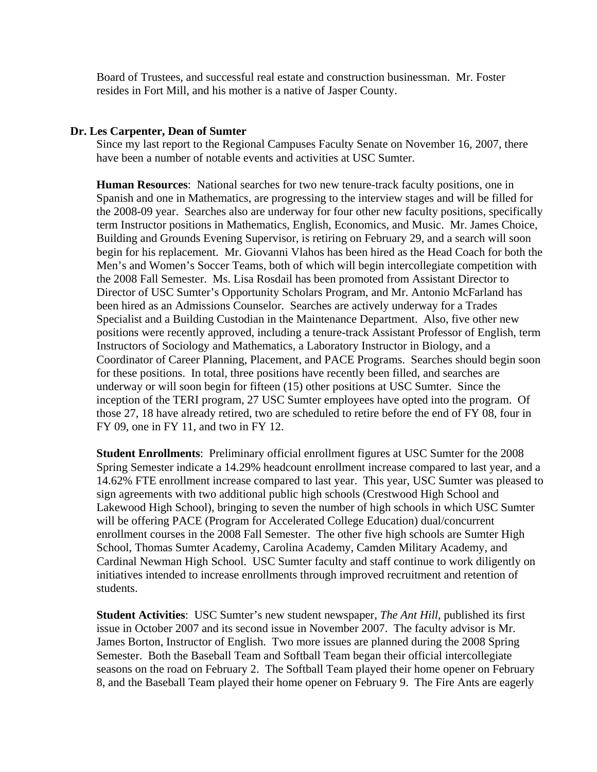Board of Trustees, and successful real estate and construction businessman. Mr. Foster resides in Fort Mill, and his mother is a native of Jasper County.

#### **Dr. Les Carpenter, Dean of Sumter**

Since my last report to the Regional Campuses Faculty Senate on November 16, 2007, there have been a number of notable events and activities at USC Sumter.

**Human Resources**: National searches for two new tenure-track faculty positions, one in Spanish and one in Mathematics, are progressing to the interview stages and will be filled for the 2008-09 year. Searches also are underway for four other new faculty positions, specifically term Instructor positions in Mathematics, English, Economics, and Music. Mr. James Choice, Building and Grounds Evening Supervisor, is retiring on February 29, and a search will soon begin for his replacement. Mr. Giovanni Vlahos has been hired as the Head Coach for both the Men's and Women's Soccer Teams, both of which will begin intercollegiate competition with the 2008 Fall Semester. Ms. Lisa Rosdail has been promoted from Assistant Director to Director of USC Sumter's Opportunity Scholars Program, and Mr. Antonio McFarland has been hired as an Admissions Counselor. Searches are actively underway for a Trades Specialist and a Building Custodian in the Maintenance Department. Also, five other new positions were recently approved, including a tenure-track Assistant Professor of English, term Instructors of Sociology and Mathematics, a Laboratory Instructor in Biology, and a Coordinator of Career Planning, Placement, and PACE Programs. Searches should begin soon for these positions. In total, three positions have recently been filled, and searches are underway or will soon begin for fifteen (15) other positions at USC Sumter. Since the inception of the TERI program, 27 USC Sumter employees have opted into the program. Of those 27, 18 have already retired, two are scheduled to retire before the end of FY 08, four in FY 09, one in FY 11, and two in FY 12.

**Student Enrollments**: Preliminary official enrollment figures at USC Sumter for the 2008 Spring Semester indicate a 14.29% headcount enrollment increase compared to last year, and a 14.62% FTE enrollment increase compared to last year. This year, USC Sumter was pleased to sign agreements with two additional public high schools (Crestwood High School and Lakewood High School), bringing to seven the number of high schools in which USC Sumter will be offering PACE (Program for Accelerated College Education) dual/concurrent enrollment courses in the 2008 Fall Semester. The other five high schools are Sumter High School, Thomas Sumter Academy, Carolina Academy, Camden Military Academy, and Cardinal Newman High School. USC Sumter faculty and staff continue to work diligently on initiatives intended to increase enrollments through improved recruitment and retention of students.

**Student Activities**: USC Sumter's new student newspaper, *The Ant Hill*, published its first issue in October 2007 and its second issue in November 2007. The faculty advisor is Mr. James Borton, Instructor of English. Two more issues are planned during the 2008 Spring Semester. Both the Baseball Team and Softball Team began their official intercollegiate seasons on the road on February 2. The Softball Team played their home opener on February 8, and the Baseball Team played their home opener on February 9. The Fire Ants are eagerly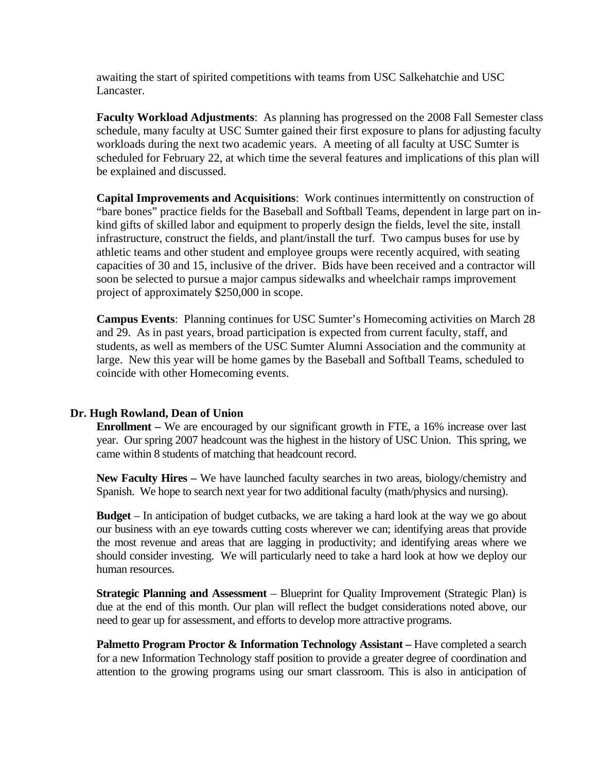awaiting the start of spirited competitions with teams from USC Salkehatchie and USC Lancaster.

**Faculty Workload Adjustments**: As planning has progressed on the 2008 Fall Semester class schedule, many faculty at USC Sumter gained their first exposure to plans for adjusting faculty workloads during the next two academic years. A meeting of all faculty at USC Sumter is scheduled for February 22, at which time the several features and implications of this plan will be explained and discussed.

**Capital Improvements and Acquisitions**: Work continues intermittently on construction of "bare bones" practice fields for the Baseball and Softball Teams, dependent in large part on inkind gifts of skilled labor and equipment to properly design the fields, level the site, install infrastructure, construct the fields, and plant/install the turf. Two campus buses for use by athletic teams and other student and employee groups were recently acquired, with seating capacities of 30 and 15, inclusive of the driver. Bids have been received and a contractor will soon be selected to pursue a major campus sidewalks and wheelchair ramps improvement project of approximately \$250,000 in scope.

**Campus Events**: Planning continues for USC Sumter's Homecoming activities on March 28 and 29. As in past years, broad participation is expected from current faculty, staff, and students, as well as members of the USC Sumter Alumni Association and the community at large. New this year will be home games by the Baseball and Softball Teams, scheduled to coincide with other Homecoming events.

# **Dr. Hugh Rowland, Dean of Union**

**Enrollment –** We are encouraged by our significant growth in FTE, a 16% increase over last year. Our spring 2007 headcount was the highest in the history of USC Union. This spring, we came within 8 students of matching that headcount record.

**New Faculty Hires –** We have launched faculty searches in two areas, biology/chemistry and Spanish. We hope to search next year for two additional faculty (math/physics and nursing).

**Budget** – In anticipation of budget cutbacks, we are taking a hard look at the way we go about our business with an eye towards cutting costs wherever we can; identifying areas that provide the most revenue and areas that are lagging in productivity; and identifying areas where we should consider investing. We will particularly need to take a hard look at how we deploy our human resources.

**Strategic Planning and Assessment** – Blueprint for Quality Improvement (Strategic Plan) is due at the end of this month. Our plan will reflect the budget considerations noted above, our need to gear up for assessment, and efforts to develop more attractive programs.

**Palmetto Program Proctor & Information Technology Assistant – Have completed a search** for a new Information Technology staff position to provide a greater degree of coordination and attention to the growing programs using our smart classroom. This is also in anticipation of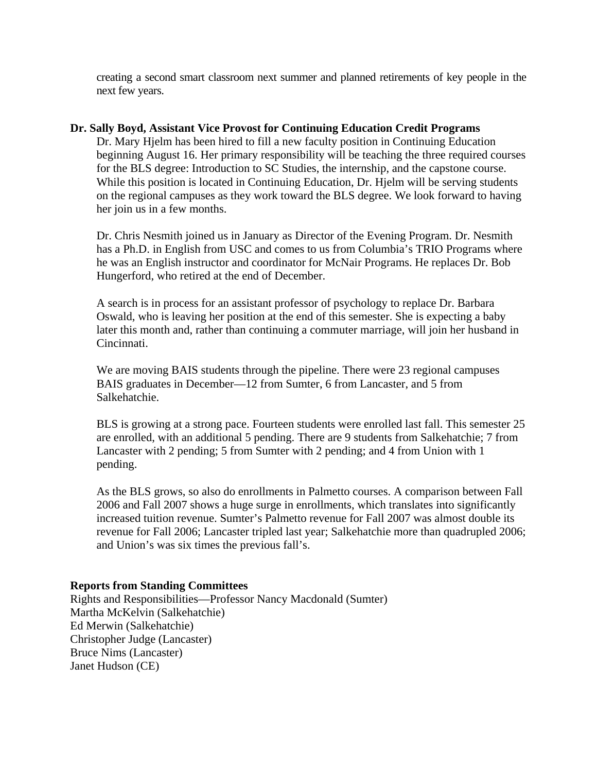creating a second smart classroom next summer and planned retirements of key people in the next few years.

### **Dr. Sally Boyd, Assistant Vice Provost for Continuing Education Credit Programs**

Dr. Mary Hjelm has been hired to fill a new faculty position in Continuing Education beginning August 16. Her primary responsibility will be teaching the three required courses for the BLS degree: Introduction to SC Studies, the internship, and the capstone course. While this position is located in Continuing Education, Dr. Hjelm will be serving students on the regional campuses as they work toward the BLS degree. We look forward to having her join us in a few months.

Dr. Chris Nesmith joined us in January as Director of the Evening Program. Dr. Nesmith has a Ph.D. in English from USC and comes to us from Columbia's TRIO Programs where he was an English instructor and coordinator for McNair Programs. He replaces Dr. Bob Hungerford, who retired at the end of December.

A search is in process for an assistant professor of psychology to replace Dr. Barbara Oswald, who is leaving her position at the end of this semester. She is expecting a baby later this month and, rather than continuing a commuter marriage, will join her husband in Cincinnati.

We are moving BAIS students through the pipeline. There were 23 regional campuses BAIS graduates in December—12 from Sumter, 6 from Lancaster, and 5 from Salkehatchie.

BLS is growing at a strong pace. Fourteen students were enrolled last fall. This semester 25 are enrolled, with an additional 5 pending. There are 9 students from Salkehatchie; 7 from Lancaster with 2 pending; 5 from Sumter with 2 pending; and 4 from Union with 1 pending.

As the BLS grows, so also do enrollments in Palmetto courses. A comparison between Fall 2006 and Fall 2007 shows a huge surge in enrollments, which translates into significantly increased tuition revenue. Sumter's Palmetto revenue for Fall 2007 was almost double its revenue for Fall 2006; Lancaster tripled last year; Salkehatchie more than quadrupled 2006; and Union's was six times the previous fall's.

# **Reports from Standing Committees**

Rights and Responsibilities—Professor Nancy Macdonald (Sumter) Martha McKelvin (Salkehatchie) Ed Merwin (Salkehatchie) Christopher Judge (Lancaster) Bruce Nims (Lancaster) Janet Hudson (CE)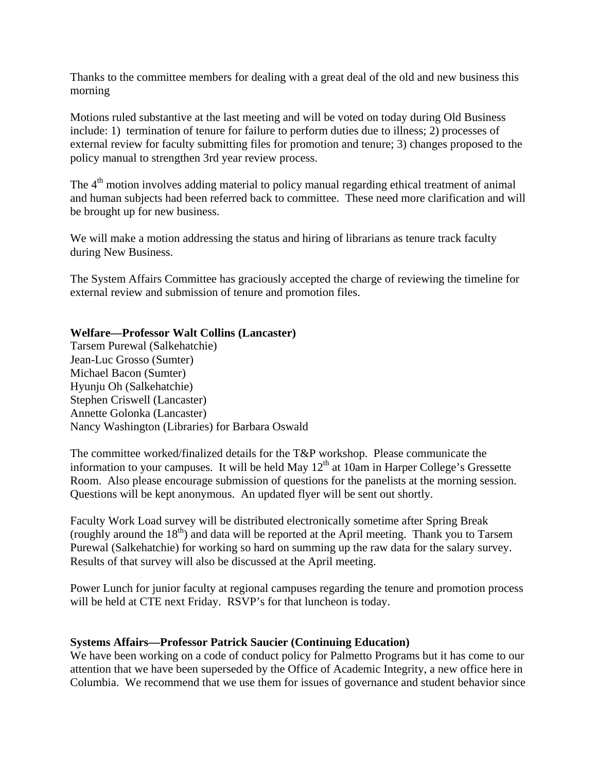Thanks to the committee members for dealing with a great deal of the old and new business this morning

Motions ruled substantive at the last meeting and will be voted on today during Old Business include: 1) termination of tenure for failure to perform duties due to illness; 2) processes of external review for faculty submitting files for promotion and tenure; 3) changes proposed to the policy manual to strengthen 3rd year review process.

The 4<sup>th</sup> motion involves adding material to policy manual regarding ethical treatment of animal and human subjects had been referred back to committee. These need more clarification and will be brought up for new business.

We will make a motion addressing the status and hiring of librarians as tenure track faculty during New Business.

The System Affairs Committee has graciously accepted the charge of reviewing the timeline for external review and submission of tenure and promotion files.

# **Welfare—Professor Walt Collins (Lancaster)**

Tarsem Purewal (Salkehatchie) Jean-Luc Grosso (Sumter) Michael Bacon (Sumter) Hyunju Oh (Salkehatchie) Stephen Criswell (Lancaster) Annette Golonka (Lancaster) Nancy Washington (Libraries) for Barbara Oswald

The committee worked/finalized details for the T&P workshop. Please communicate the information to your campuses. It will be held May  $12<sup>th</sup>$  at 10am in Harper College's Gressette Room. Also please encourage submission of questions for the panelists at the morning session. Questions will be kept anonymous. An updated flyer will be sent out shortly.

Faculty Work Load survey will be distributed electronically sometime after Spring Break (roughly around the  $18<sup>th</sup>$ ) and data will be reported at the April meeting. Thank you to Tarsem Purewal (Salkehatchie) for working so hard on summing up the raw data for the salary survey. Results of that survey will also be discussed at the April meeting.

Power Lunch for junior faculty at regional campuses regarding the tenure and promotion process will be held at CTE next Friday. RSVP's for that luncheon is today.

# **Systems Affairs—Professor Patrick Saucier (Continuing Education)**

We have been working on a code of conduct policy for Palmetto Programs but it has come to our attention that we have been superseded by the Office of Academic Integrity, a new office here in Columbia. We recommend that we use them for issues of governance and student behavior since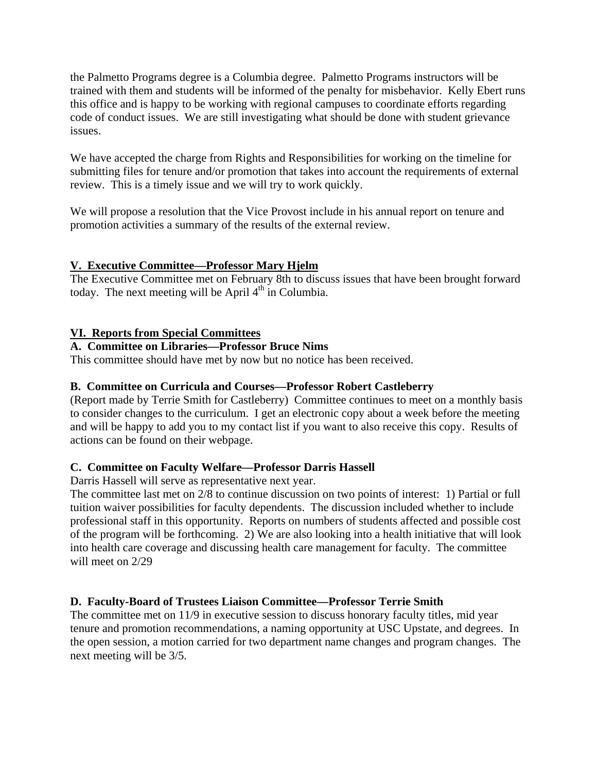the Palmetto Programs degree is a Columbia degree. Palmetto Programs instructors will be trained with them and students will be informed of the penalty for misbehavior. Kelly Ebert runs this office and is happy to be working with regional campuses to coordinate efforts regarding code of conduct issues. We are still investigating what should be done with student grievance issues.

We have accepted the charge from Rights and Responsibilities for working on the timeline for submitting files for tenure and/or promotion that takes into account the requirements of external review. This is a timely issue and we will try to work quickly.

We will propose a resolution that the Vice Provost include in his annual report on tenure and promotion activities a summary of the results of the external review.

# **V. Executive Committee—Professor Mary Hjelm**

The Executive Committee met on February 8th to discuss issues that have been brought forward today. The next meeting will be April  $4<sup>th</sup>$  in Columbia.

# **VI. Reports from Special Committees**

# **A. Committee on Libraries—Professor Bruce Nims**

This committee should have met by now but no notice has been received.

# **B. Committee on Curricula and Courses—Professor Robert Castleberry**

(Report made by Terrie Smith for Castleberry) Committee continues to meet on a monthly basis to consider changes to the curriculum. I get an electronic copy about a week before the meeting and will be happy to add you to my contact list if you want to also receive this copy. Results of actions can be found on their webpage.

# **C. Committee on Faculty Welfare—Professor Darris Hassell**

Darris Hassell will serve as representative next year.

The committee last met on 2/8 to continue discussion on two points of interest: 1) Partial or full tuition waiver possibilities for faculty dependents. The discussion included whether to include professional staff in this opportunity. Reports on numbers of students affected and possible cost of the program will be forthcoming. 2) We are also looking into a health initiative that will look into health care coverage and discussing health care management for faculty. The committee will meet on 2/29

# **D. Faculty-Board of Trustees Liaison Committee—Professor Terrie Smith**

The committee met on 11/9 in executive session to discuss honorary faculty titles, mid year tenure and promotion recommendations, a naming opportunity at USC Upstate, and degrees. In the open session, a motion carried for two department name changes and program changes. The next meeting will be 3/5.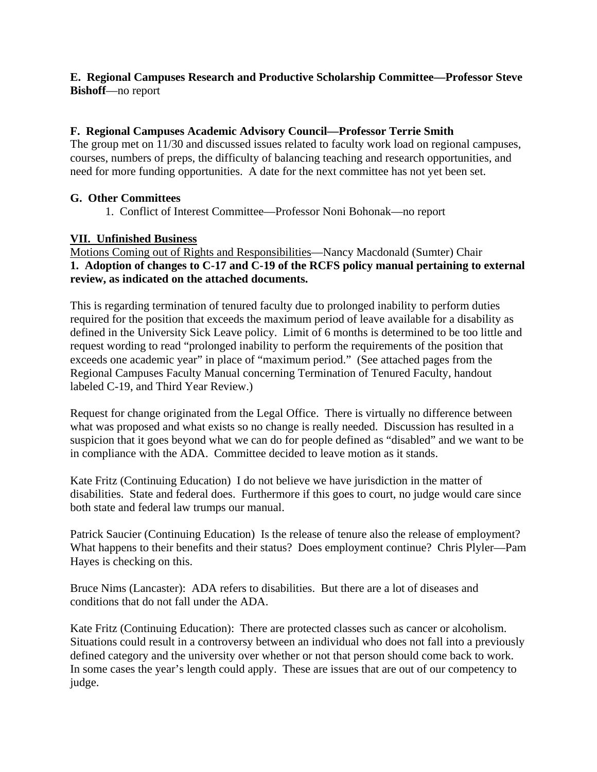# **E. Regional Campuses Research and Productive Scholarship Committee—Professor Steve Bishoff**—no report

# **F. Regional Campuses Academic Advisory Council—Professor Terrie Smith**

The group met on 11/30 and discussed issues related to faculty work load on regional campuses, courses, numbers of preps, the difficulty of balancing teaching and research opportunities, and need for more funding opportunities. A date for the next committee has not yet been set.

# **G. Other Committees**

1. Conflict of Interest Committee—Professor Noni Bohonak—no report

# **VII. Unfinished Business**

Motions Coming out of Rights and Responsibilities—Nancy Macdonald (Sumter) Chair **1. Adoption of changes to C-17 and C-19 of the RCFS policy manual pertaining to external review, as indicated on the attached documents.** 

This is regarding termination of tenured faculty due to prolonged inability to perform duties required for the position that exceeds the maximum period of leave available for a disability as defined in the University Sick Leave policy. Limit of 6 months is determined to be too little and request wording to read "prolonged inability to perform the requirements of the position that exceeds one academic year" in place of "maximum period." (See attached pages from the Regional Campuses Faculty Manual concerning Termination of Tenured Faculty, handout labeled C-19, and Third Year Review.)

Request for change originated from the Legal Office. There is virtually no difference between what was proposed and what exists so no change is really needed. Discussion has resulted in a suspicion that it goes beyond what we can do for people defined as "disabled" and we want to be in compliance with the ADA. Committee decided to leave motion as it stands.

Kate Fritz (Continuing Education) I do not believe we have jurisdiction in the matter of disabilities. State and federal does. Furthermore if this goes to court, no judge would care since both state and federal law trumps our manual.

Patrick Saucier (Continuing Education) Is the release of tenure also the release of employment? What happens to their benefits and their status? Does employment continue? Chris Plyler—Pam Hayes is checking on this.

Bruce Nims (Lancaster): ADA refers to disabilities. But there are a lot of diseases and conditions that do not fall under the ADA.

Kate Fritz (Continuing Education): There are protected classes such as cancer or alcoholism. Situations could result in a controversy between an individual who does not fall into a previously defined category and the university over whether or not that person should come back to work. In some cases the year's length could apply. These are issues that are out of our competency to judge.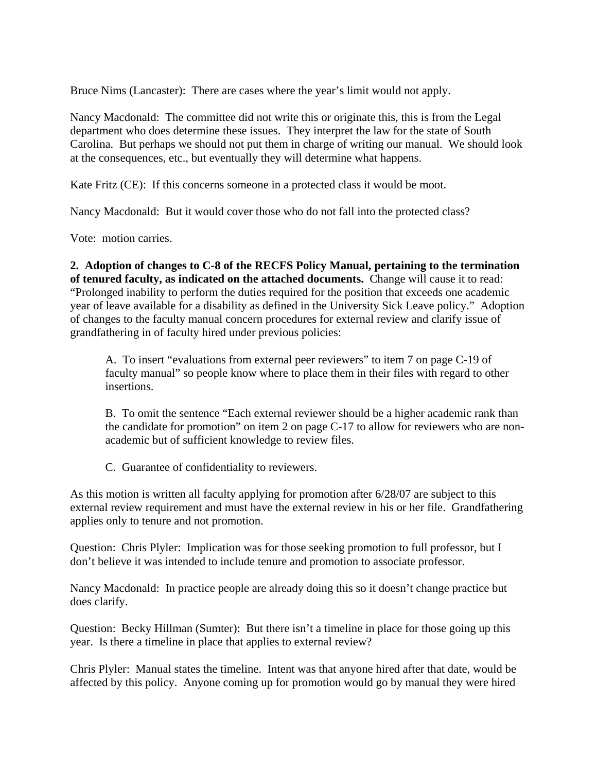Bruce Nims (Lancaster): There are cases where the year's limit would not apply.

Nancy Macdonald: The committee did not write this or originate this, this is from the Legal department who does determine these issues. They interpret the law for the state of South Carolina. But perhaps we should not put them in charge of writing our manual. We should look at the consequences, etc., but eventually they will determine what happens.

Kate Fritz (CE): If this concerns someone in a protected class it would be moot.

Nancy Macdonald: But it would cover those who do not fall into the protected class?

Vote: motion carries.

**2. Adoption of changes to C-8 of the RECFS Policy Manual, pertaining to the termination of tenured faculty, as indicated on the attached documents.** Change will cause it to read: "Prolonged inability to perform the duties required for the position that exceeds one academic year of leave available for a disability as defined in the University Sick Leave policy." Adoption of changes to the faculty manual concern procedures for external review and clarify issue of grandfathering in of faculty hired under previous policies:

A. To insert "evaluations from external peer reviewers" to item 7 on page C-19 of faculty manual" so people know where to place them in their files with regard to other insertions.

B. To omit the sentence "Each external reviewer should be a higher academic rank than the candidate for promotion" on item 2 on page C-17 to allow for reviewers who are nonacademic but of sufficient knowledge to review files.

C. Guarantee of confidentiality to reviewers.

As this motion is written all faculty applying for promotion after 6/28/07 are subject to this external review requirement and must have the external review in his or her file. Grandfathering applies only to tenure and not promotion.

Question: Chris Plyler: Implication was for those seeking promotion to full professor, but I don't believe it was intended to include tenure and promotion to associate professor.

Nancy Macdonald: In practice people are already doing this so it doesn't change practice but does clarify.

Question: Becky Hillman (Sumter): But there isn't a timeline in place for those going up this year. Is there a timeline in place that applies to external review?

Chris Plyler: Manual states the timeline. Intent was that anyone hired after that date, would be affected by this policy. Anyone coming up for promotion would go by manual they were hired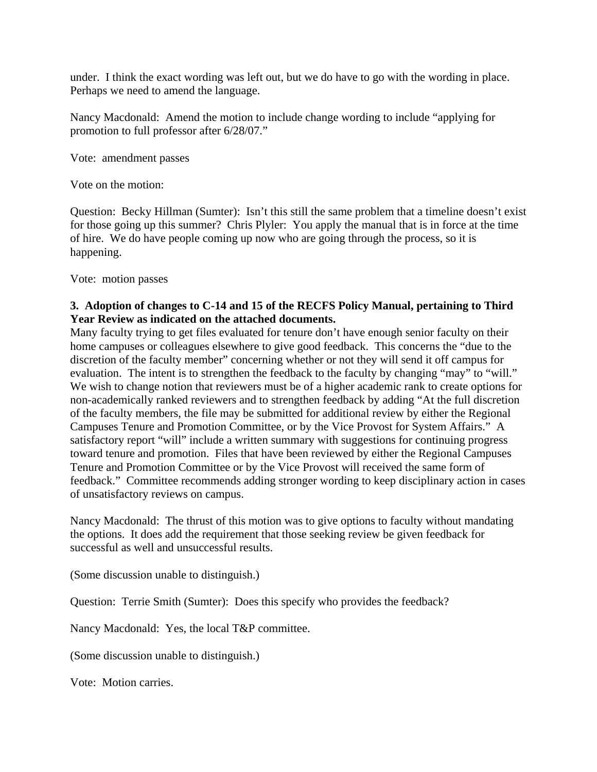under. I think the exact wording was left out, but we do have to go with the wording in place. Perhaps we need to amend the language.

Nancy Macdonald: Amend the motion to include change wording to include "applying for promotion to full professor after 6/28/07."

Vote: amendment passes

Vote on the motion:

Question: Becky Hillman (Sumter): Isn't this still the same problem that a timeline doesn't exist for those going up this summer? Chris Plyler: You apply the manual that is in force at the time of hire. We do have people coming up now who are going through the process, so it is happening.

Vote: motion passes

# **3. Adoption of changes to C-14 and 15 of the RECFS Policy Manual, pertaining to Third Year Review as indicated on the attached documents.**

Many faculty trying to get files evaluated for tenure don't have enough senior faculty on their home campuses or colleagues elsewhere to give good feedback. This concerns the "due to the discretion of the faculty member" concerning whether or not they will send it off campus for evaluation. The intent is to strengthen the feedback to the faculty by changing "may" to "will." We wish to change notion that reviewers must be of a higher academic rank to create options for non-academically ranked reviewers and to strengthen feedback by adding "At the full discretion of the faculty members, the file may be submitted for additional review by either the Regional Campuses Tenure and Promotion Committee, or by the Vice Provost for System Affairs." A satisfactory report "will" include a written summary with suggestions for continuing progress toward tenure and promotion. Files that have been reviewed by either the Regional Campuses Tenure and Promotion Committee or by the Vice Provost will received the same form of feedback." Committee recommends adding stronger wording to keep disciplinary action in cases of unsatisfactory reviews on campus.

Nancy Macdonald: The thrust of this motion was to give options to faculty without mandating the options. It does add the requirement that those seeking review be given feedback for successful as well and unsuccessful results.

(Some discussion unable to distinguish.)

Question: Terrie Smith (Sumter): Does this specify who provides the feedback?

Nancy Macdonald: Yes, the local T&P committee.

(Some discussion unable to distinguish.)

Vote: Motion carries.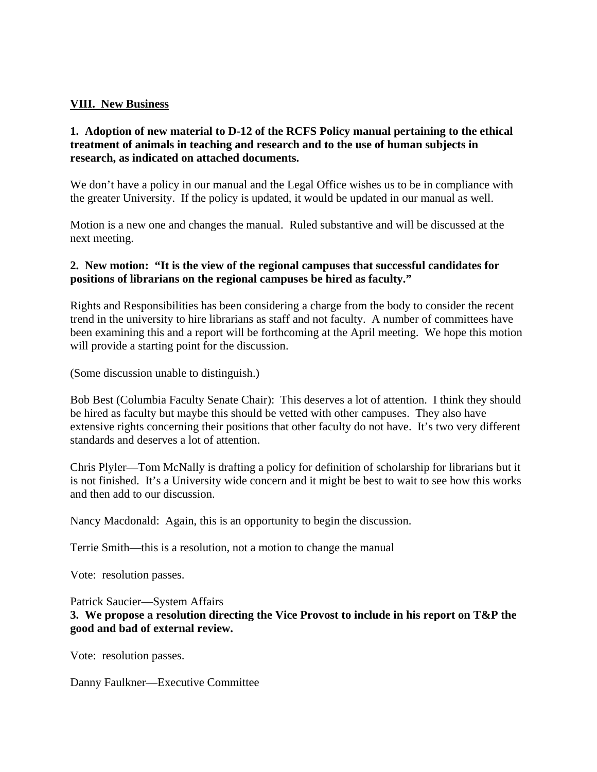# **VIII. New Business**

# **1. Adoption of new material to D-12 of the RCFS Policy manual pertaining to the ethical treatment of animals in teaching and research and to the use of human subjects in research, as indicated on attached documents.**

We don't have a policy in our manual and the Legal Office wishes us to be in compliance with the greater University. If the policy is updated, it would be updated in our manual as well.

Motion is a new one and changes the manual. Ruled substantive and will be discussed at the next meeting.

# **2. New motion: "It is the view of the regional campuses that successful candidates for positions of librarians on the regional campuses be hired as faculty."**

Rights and Responsibilities has been considering a charge from the body to consider the recent trend in the university to hire librarians as staff and not faculty. A number of committees have been examining this and a report will be forthcoming at the April meeting. We hope this motion will provide a starting point for the discussion.

(Some discussion unable to distinguish.)

Bob Best (Columbia Faculty Senate Chair): This deserves a lot of attention. I think they should be hired as faculty but maybe this should be vetted with other campuses. They also have extensive rights concerning their positions that other faculty do not have. It's two very different standards and deserves a lot of attention.

Chris Plyler—Tom McNally is drafting a policy for definition of scholarship for librarians but it is not finished. It's a University wide concern and it might be best to wait to see how this works and then add to our discussion.

Nancy Macdonald: Again, this is an opportunity to begin the discussion.

Terrie Smith—this is a resolution, not a motion to change the manual

Vote: resolution passes.

Patrick Saucier—System Affairs

**3. We propose a resolution directing the Vice Provost to include in his report on T&P the good and bad of external review.** 

Vote: resolution passes.

Danny Faulkner—Executive Committee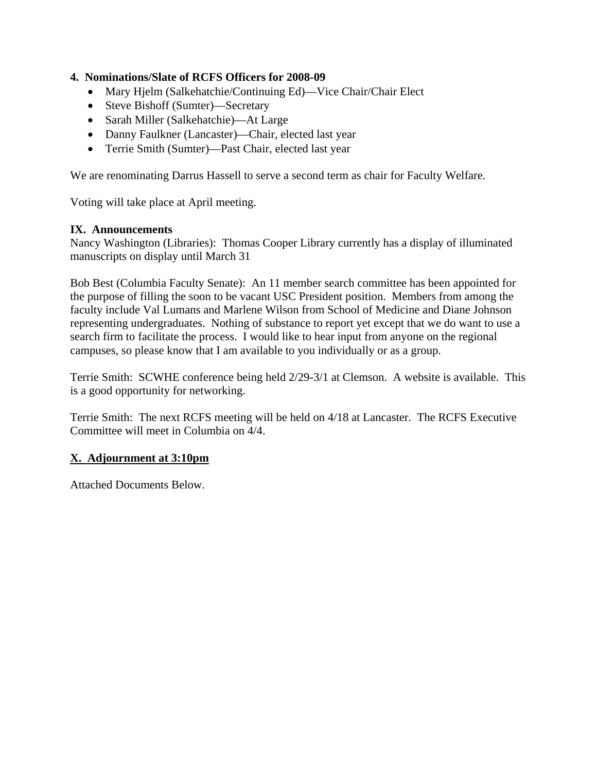# **4. Nominations/Slate of RCFS Officers for 2008-09**

- Mary Hjelm (Salkehatchie/Continuing Ed)—Vice Chair/Chair Elect
- Steve Bishoff (Sumter)—Secretary
- Sarah Miller (Salkehatchie)—At Large
- Danny Faulkner (Lancaster)—Chair, elected last year
- Terrie Smith (Sumter)—Past Chair, elected last year

We are renominating Darrus Hassell to serve a second term as chair for Faculty Welfare.

Voting will take place at April meeting.

### **IX. Announcements**

Nancy Washington (Libraries): Thomas Cooper Library currently has a display of illuminated manuscripts on display until March 31

Bob Best (Columbia Faculty Senate): An 11 member search committee has been appointed for the purpose of filling the soon to be vacant USC President position. Members from among the faculty include Val Lumans and Marlene Wilson from School of Medicine and Diane Johnson representing undergraduates. Nothing of substance to report yet except that we do want to use a search firm to facilitate the process. I would like to hear input from anyone on the regional campuses, so please know that I am available to you individually or as a group.

Terrie Smith: SCWHE conference being held 2/29-3/1 at Clemson. A website is available. This is a good opportunity for networking.

Terrie Smith: The next RCFS meeting will be held on 4/18 at Lancaster. The RCFS Executive Committee will meet in Columbia on 4/4.

# **X. Adjournment at 3:10pm**

Attached Documents Below.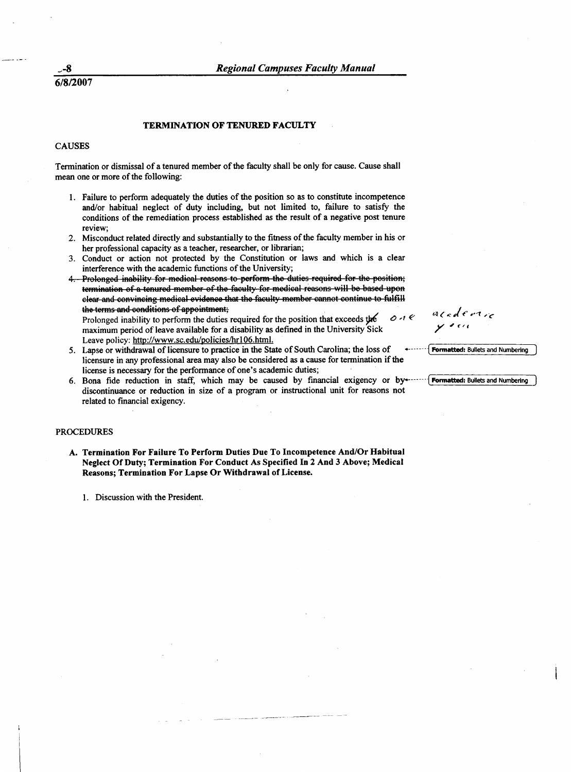6/8/2007

#### **TERMINATION OF TENURED FACULTY**

#### **CAUSES**

Termination or dismissal of a tenured member of the faculty shall be only for cause. Cause shall mean one or more of the following:

- 1. Failure to perform adequately the duties of the position so as to constitute incompetence and/or habitual neglect of duty including, but not limited to, failure to satisfy the conditions of the remediation process established as the result of a negative post tenure review;
- 2. Misconduct related directly and substantially to the fitness of the faculty member in his or her professional capacity as a teacher, researcher, or librarian;
- 3. Conduct or action not protected by the Constitution or laws and which is a clear interference with the academic functions of the University;
- 4. Prolonged inability for medical reasons to perform the duties required for the position; termination of a tenured member of the faculty for medical reasons will be based upon clear and convincing medical evidence that the faculty member cannot continue to fulfill the terms and conditions of appointment;  $0.1e$

Prolonged inability to perform the duties required for the position that exceeds the maximum period of leave available for a disability as defined in the University Sick Leave policy: http://www.sc.edu/policies/hr106.html.

- 5. Lapse or withdrawal of licensure to practice in the State of South Carolina; the loss of licensure in any professional area may also be considered as a cause for termination if the license is necessary for the performance of one's academic duties;
- 6. Bona fide reduction in staff, which may be caused by financial exigency or by-----discontinuance or reduction in size of a program or instructional unit for reasons not related to financial exigency.

#### **PROCEDURES**

A. Termination For Failure To Perform Duties Due To Incompetence And/Or Habitual Neglect Of Duty; Termination For Conduct As Specified In 2 And 3 Above; Medical Reasons; Termination For Lapse Or Withdrawal of License.

1. Discussion with the President.

 $acceler1$ 

Formatted: Bullets and Numbering

Formatted: Bullets and Numbering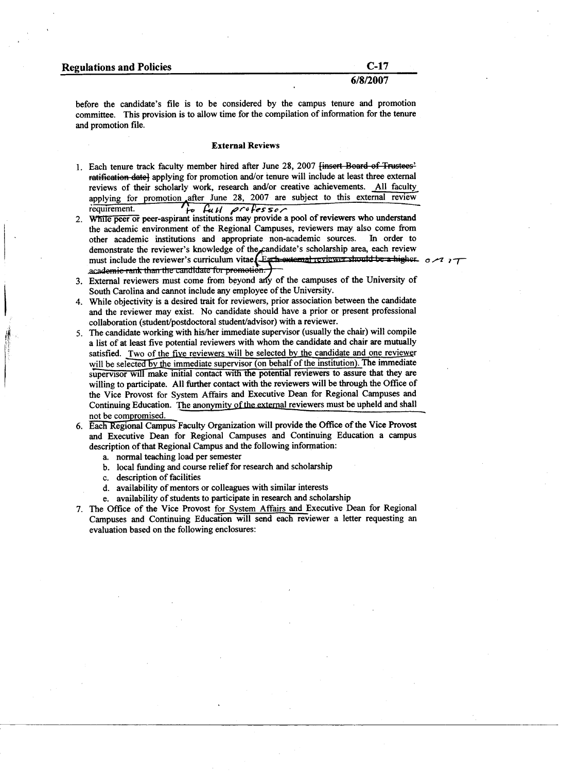| <b>Regulations and Policies</b> |  |  |  |  |
|---------------------------------|--|--|--|--|
|---------------------------------|--|--|--|--|

#### 6/8/2007

before the candidate's file is to be considered by the campus tenure and promotion committee. This provision is to allow time for the compilation of information for the tenure and promotion file.

#### **External Reviews**

- 1. Each tenure track faculty member hired after June 28, 2007 <del>[insert Board of Trustees'</del> ratification date] applying for promotion and/or tenure will include at least three external reviews of their scholarly work, research and/or creative achievements. All faculty applying for promotion after June 28, 2007 are subject to this external review requirement. to full professor
- 2. While peer or peer-aspirant institutions may provide a pool of reviewers who understand the academic environment of the Regional Campuses, reviewers may also come from other academic institutions and appropriate non-academic sources. In order to demonstrate the reviewer's knowledge of the candidate's scholarship area, each review must include the reviewer's curriculum vitae. Earth external reviewer should be a higher. academie rank than the candidate for promotion.
- 3. External reviewers must come from beyond any of the campuses of the University of South Carolina and cannot include any employee of the University.
- 4. While objectivity is a desired trait for reviewers, prior association between the candidate and the reviewer may exist. No candidate should have a prior or present professional collaboration (student/postdoctoral student/advisor) with a reviewer.
- 5. The candidate working with his/her immediate supervisor (usually the chair) will compile a list of at least five potential reviewers with whom the candidate and chair are mutually satisfied. Two of the five reviewers will be selected by the candidate and one reviewer will be selected by the immediate supervisor (on behalf of the institution). The immediate supervisor will make initial contact with the potential reviewers to assure that they are willing to participate. All further contact with the reviewers will be through the Office of the Vice Provost for System Affairs and Executive Dean for Regional Campuses and Continuing Education. The anonymity of the external reviewers must be upheld and shall not be compromised.
- 6. Each Regional Campus Faculty Organization will provide the Office of the Vice Provost and Executive Dean for Regional Campuses and Continuing Education a campus description of that Regional Campus and the following information:
	- a. normal teaching load per semester
	- b. local funding and course relief for research and scholarship
	- c. description of facilities
	- d. availability of mentors or colleagues with similar interests
	- e. availability of students to participate in research and scholarship
- 7. The Office of the Vice Provost for System Affairs and Executive Dean for Regional Campuses and Continuing Education will send each reviewer a letter requesting an evaluation based on the following enclosures:

 $0\mu$  $1\tau$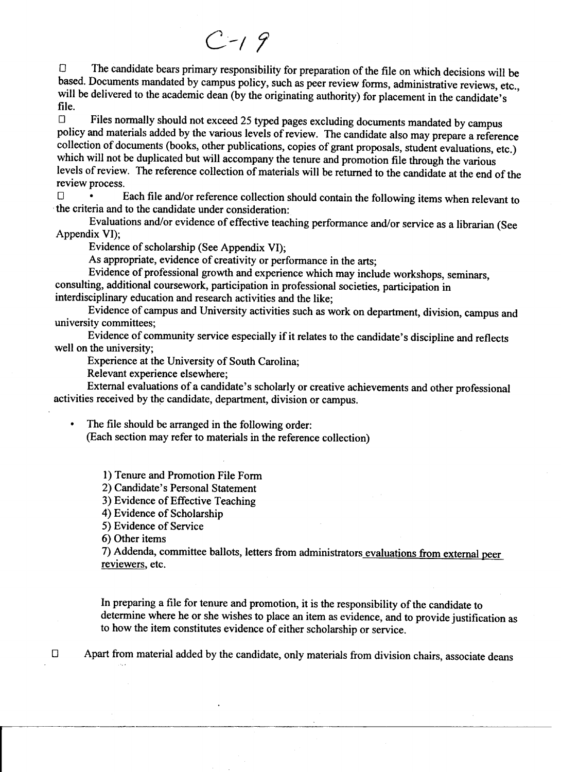# $C - 19$

The candidate bears primary responsibility for preparation of the file on which decisions will be  $\Box$ based. Documents mandated by campus policy, such as peer review forms, administrative reviews, etc., will be delivered to the academic dean (by the originating authority) for placement in the candidate's file.

Files normally should not exceed 25 typed pages excluding documents mandated by campus  $\Box$ policy and materials added by the various levels of review. The candidate also may prepare a reference collection of documents (books, other publications, copies of grant proposals, student evaluations, etc.) which will not be duplicated but will accompany the tenure and promotion file through the various levels of review. The reference collection of materials will be returned to the candidate at the end of the review process.

Each file and/or reference collection should contain the following items when relevant to  $\Box$ the criteria and to the candidate under consideration:

Evaluations and/or evidence of effective teaching performance and/or service as a librarian (See Appendix VI);

Evidence of scholarship (See Appendix VI);

As appropriate, evidence of creativity or performance in the arts;

Evidence of professional growth and experience which may include workshops, seminars, consulting, additional coursework, participation in professional societies, participation in

interdisciplinary education and research activities and the like;

Evidence of campus and University activities such as work on department, division, campus and university committees;

Evidence of community service especially if it relates to the candidate's discipline and reflects well on the university:

Experience at the University of South Carolina;

Relevant experience elsewhere;

External evaluations of a candidate's scholarly or creative achievements and other professional activities received by the candidate, department, division or campus.

The file should be arranged in the following order:

(Each section may refer to materials in the reference collection)

- 1) Tenure and Promotion File Form
- 2) Candidate's Personal Statement

3) Evidence of Effective Teaching

4) Evidence of Scholarship

5) Evidence of Service

6) Other items

 $\bullet$ 

 $\Box$ 

7) Addenda, committee ballots, letters from administrators evaluations from external peer reviewers, etc.

In preparing a file for tenure and promotion, it is the responsibility of the candidate to determine where he or she wishes to place an item as evidence, and to provide justification as to how the item constitutes evidence of either scholarship or service.

Apart from material added by the candidate, only materials from division chairs, associate deans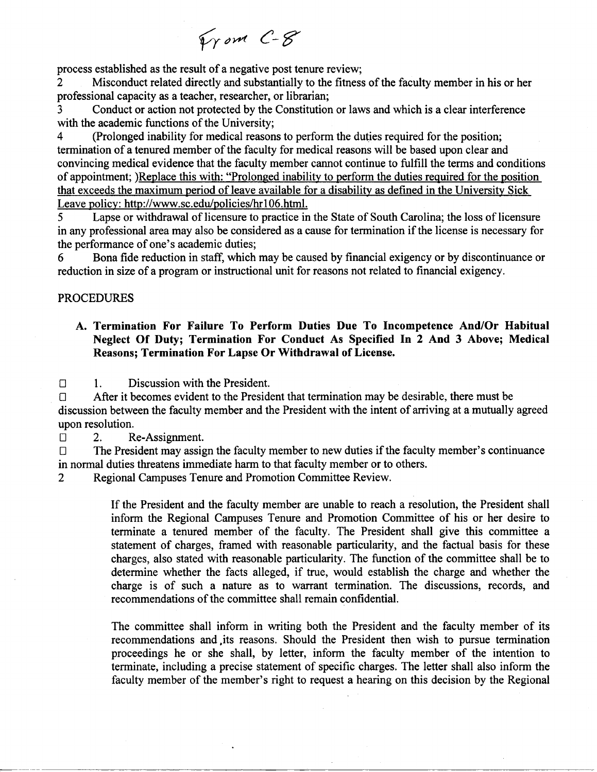From C-8

process established as the result of a negative post tenure review;

Misconduct related directly and substantially to the fitness of the faculty member in his or her  $\overline{2}$ professional capacity as a teacher, researcher, or librarian;

Conduct or action not protected by the Constitution or laws and which is a clear interference 3 with the academic functions of the University;

(Prolonged inability for medical reasons to perform the duties required for the position; 4 termination of a tenured member of the faculty for medical reasons will be based upon clear and convincing medical evidence that the faculty member cannot continue to fulfill the terms and conditions of appointment; )Replace this with: "Prolonged inability to perform the duties required for the position that exceeds the maximum period of leave available for a disability as defined in the University Sick Leave policy: http://www.sc.edu/policies/hr106.html.

Lapse or withdrawal of licensure to practice in the State of South Carolina; the loss of licensure 5 in any professional area may also be considered as a cause for termination if the license is necessary for the performance of one's academic duties:

Bona fide reduction in staff, which may be caused by financial exigency or by discontinuance or 6 reduction in size of a program or instructional unit for reasons not related to financial exigency.

# **PROCEDURES**

# A. Termination For Failure To Perform Duties Due To Incompetence And/Or Habitual Neglect Of Duty; Termination For Conduct As Specified In 2 And 3 Above; Medical Reasons; Termination For Lapse Or Withdrawal of License.

Discussion with the President.  $\Box$  $\mathbf{1}$ .

After it becomes evident to the President that termination may be desirable, there must be  $\Box$ discussion between the faculty member and the President with the intent of arriving at a mutually agreed upon resolution.

 $\Box$  $\overline{2}$ . Re-Assignment.

 $\Box$ The President may assign the faculty member to new duties if the faculty member's continuance in normal duties threatens immediate harm to that faculty member or to others.

Regional Campuses Tenure and Promotion Committee Review.  $\overline{2}$ 

> If the President and the faculty member are unable to reach a resolution, the President shall inform the Regional Campuses Tenure and Promotion Committee of his or her desire to terminate a tenured member of the faculty. The President shall give this committee a statement of charges, framed with reasonable particularity, and the factual basis for these charges, also stated with reasonable particularity. The function of the committee shall be to determine whether the facts alleged, if true, would establish the charge and whether the charge is of such a nature as to warrant termination. The discussions, records, and recommendations of the committee shall remain confidential.

> The committee shall inform in writing both the President and the faculty member of its recommendations and its reasons. Should the President then wish to pursue termination proceedings he or she shall, by letter, inform the faculty member of the intention to terminate, including a precise statement of specific charges. The letter shall also inform the faculty member of the member's right to request a hearing on this decision by the Regional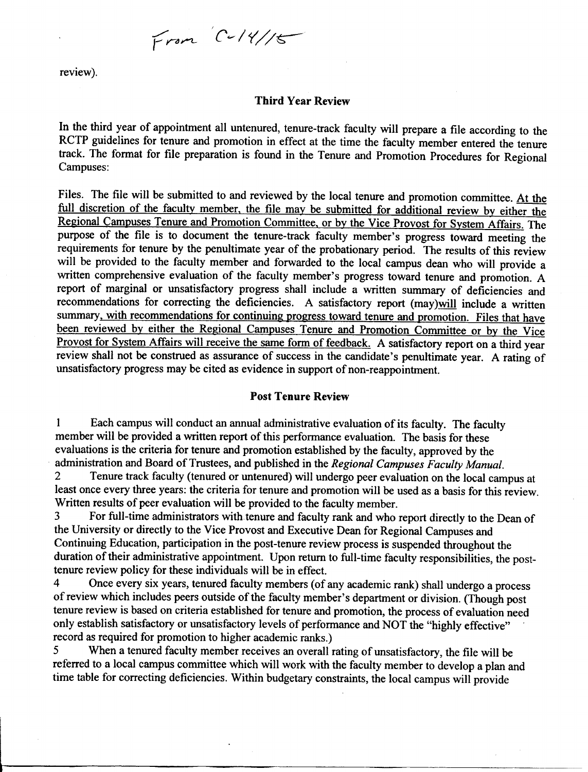From  $C-14/15$ 

review).

#### **Third Year Review**

In the third year of appointment all untenured, tenure-track faculty will prepare a file according to the RCTP guidelines for tenure and promotion in effect at the time the faculty member entered the tenure track. The format for file preparation is found in the Tenure and Promotion Procedures for Regional Campuses:

Files. The file will be submitted to and reviewed by the local tenure and promotion committee. At the full discretion of the faculty member, the file may be submitted for additional review by either the Regional Campuses Tenure and Promotion Committee, or by the Vice Provost for System Affairs. The purpose of the file is to document the tenure-track faculty member's progress toward meeting the requirements for tenure by the penultimate year of the probationary period. The results of this review will be provided to the faculty member and forwarded to the local campus dean who will provide a written comprehensive evaluation of the faculty member's progress toward tenure and promotion. A report of marginal or unsatisfactory progress shall include a written summary of deficiencies and recommendations for correcting the deficiencies. A satisfactory report (may)will include a written summary, with recommendations for continuing progress toward tenure and promotion. Files that have been reviewed by either the Regional Campuses Tenure and Promotion Committee or by the Vice Provost for System Affairs will receive the same form of feedback. A satisfactory report on a third year review shall not be construed as assurance of success in the candidate's penultimate year. A rating of unsatisfactory progress may be cited as evidence in support of non-reappointment.

# **Post Tenure Review**

Each campus will conduct an annual administrative evaluation of its faculty. The faculty  $\mathbf{1}$ member will be provided a written report of this performance evaluation. The basis for these evaluations is the criteria for tenure and promotion established by the faculty, approved by the administration and Board of Trustees, and published in the Regional Campuses Faculty Manual.

Tenure track faculty (tenured or untenured) will undergo peer evaluation on the local campus at  $\overline{2}$ least once every three years: the criteria for tenure and promotion will be used as a basis for this review. Written results of peer evaluation will be provided to the faculty member.

For full-time administrators with tenure and faculty rank and who report directly to the Dean of 3 the University or directly to the Vice Provost and Executive Dean for Regional Campuses and Continuing Education, participation in the post-tenure review process is suspended throughout the duration of their administrative appointment. Upon return to full-time faculty responsibilities, the posttenure review policy for these individuals will be in effect.

Once every six years, tenured faculty members (of any academic rank) shall undergo a process 4 of review which includes peers outside of the faculty member's department or division. (Though post tenure review is based on criteria established for tenure and promotion, the process of evaluation need only establish satisfactory or unsatisfactory levels of performance and NOT the "highly effective" record as required for promotion to higher academic ranks.)

When a tenured faculty member receives an overall rating of unsatisfactory, the file will be 5 referred to a local campus committee which will work with the faculty member to develop a plan and time table for correcting deficiencies. Within budgetary constraints, the local campus will provide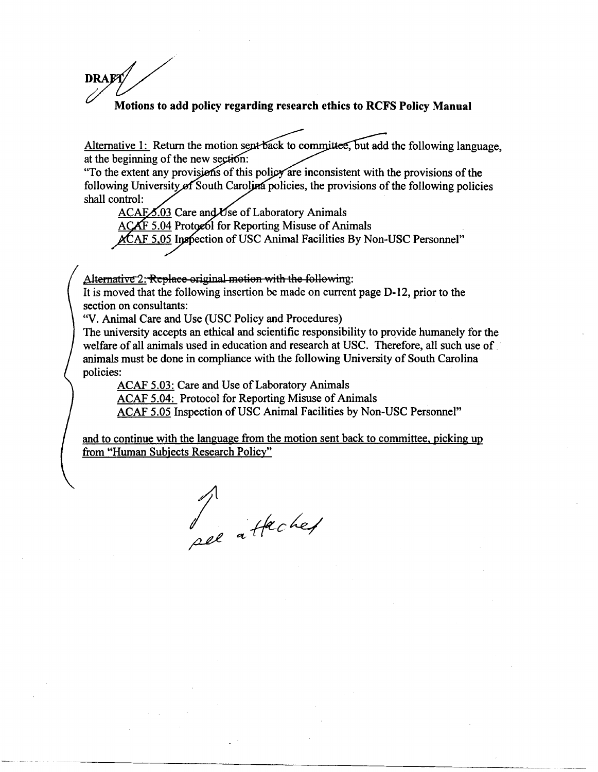# DRAFT Motions to add policy regarding research ethics to RCFS Policy Manual

Alternative 1: Return the motion sept back to committee, but add the following language. at the beginning of the new section:

"To the extent any provisions of this policy are inconsistent with the provisions of the following University of South Carolina policies, the provisions of the following policies shall control:

ACAFS.03 Care and Use of Laboratory Animals ACAF 5.04 Protocol for Reporting Misuse of Animals

ACAF 5,05 Inspection of USC Animal Facilities By Non-USC Personnel"

Alternative 2: Replace original motion with the following:

It is moved that the following insertion be made on current page D-12, prior to the section on consultants:

"V. Animal Care and Use (USC Policy and Procedures)

The university accepts an ethical and scientific responsibility to provide humanely for the welfare of all animals used in education and research at USC. Therefore, all such use of animals must be done in compliance with the following University of South Carolina policies:

ACAF 5.03: Care and Use of Laboratory Animals

ACAF 5.04: Protocol for Reporting Misuse of Animals

ACAF 5.05 Inspection of USC Animal Facilities by Non-USC Personnel"

and to continue with the language from the motion sent back to committee, picking up from "Human Subjects Research Policy"

Je attached